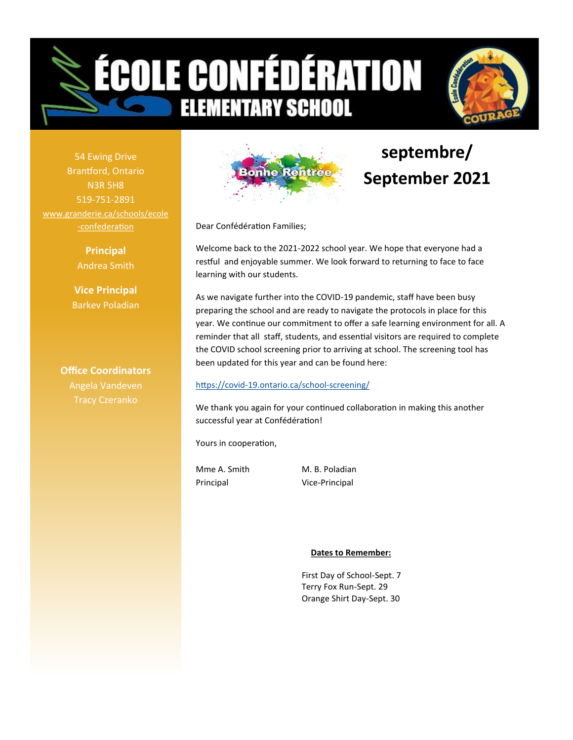



54 Ewing Drive Brantford, Ontario N3R 5H8 519-751-2891 [www.granderie.ca/schools/ecole](https://www.granderie.ca/schools/ecole-confederation) -[confederation](https://www.granderie.ca/schools/ecole-confederation)

> **Principal** Andrea Smith

**Vice Principal** Barkev Poladian

**Office Coordinators**



# **septembre/ September 2021**

Dear Confédération Families;

Welcome back to the 2021-2022 school year. We hope that everyone had a restful and enjoyable summer. We look forward to returning to face to face learning with our students.

As we navigate further into the COVID-19 pandemic, staff have been busy preparing the school and are ready to navigate the protocols in place for this year. We continue our commitment to offer a safe learning environment for all. A reminder that all staff, students, and essential visitors are required to complete the COVID school screening prior to arriving at school. The screening tool has been updated for this year and can be found here:

#### https://covid-[19.ontario.ca/school](https://covid-19.ontario.ca/school-screening/)-screening/

We thank you again for your continued collaboration in making this another successful year at Confédération!

Yours in cooperation,

Mme A. Smith M. B. Poladian Principal Vice-Principal

#### **Dates to Remember:**

First Day of School-Sept. 7 Terry Fox Run-Sept. 29 Orange Shirt Day-Sept. 30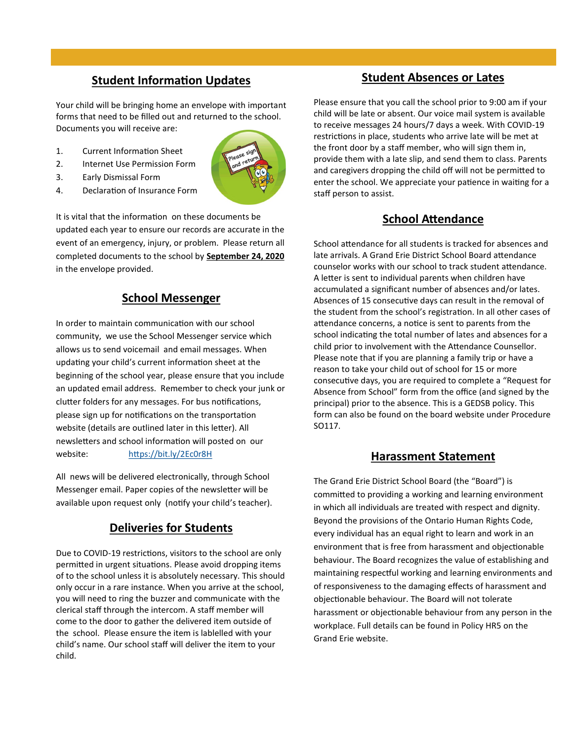# **Student Information Updates**

Your child will be bringing home an envelope with important forms that need to be filled out and returned to the school. Documents you will receive are:

- 1. Current Information Sheet
- 2. Internet Use Permission Form
- 3. Early Dismissal Form
- 4. Declaration of Insurance Form



It is vital that the information on these documents be updated each year to ensure our records are accurate in the event of an emergency, injury, or problem. Please return all completed documents to the school by **September 24, 2020**  in the envelope provided.

## **School Messenger**

In order to maintain communication with our school community, we use the School Messenger service which allows us to send voicemail and email messages. When updating your child's current information sheet at the beginning of the school year, please ensure that you include an updated email address. Remember to check your junk or clutter folders for any messages. For bus notifications, please sign up for notifications on the transportation website (details are outlined later in this letter). All newsletters and school information will posted on our website: <https://bit.ly/2Ec0r8H>

All news will be delivered electronically, through School Messenger email. Paper copies of the newsletter will be available upon request only (notify your child's teacher).

# **Deliveries for Students**

Due to COVID-19 restrictions, visitors to the school are only permitted in urgent situations. Please avoid dropping items of to the school unless it is absolutely necessary. This should only occur in a rare instance. When you arrive at the school, you will need to ring the buzzer and communicate with the clerical staff through the intercom. A staff member will come to the door to gather the delivered item outside of the school. Please ensure the item is lablelled with your child's name. Our school staff will deliver the item to your child.

## **Student Absences or Lates**

Please ensure that you call the school prior to 9:00 am if your child will be late or absent. Our voice mail system is available to receive messages 24 hours/7 days a week. With COVID-19 restrictions in place, students who arrive late will be met at the front door by a staff member, who will sign them in, provide them with a late slip, and send them to class. Parents and caregivers dropping the child off will not be permitted to enter the school. We appreciate your patience in waiting for a staff person to assist.

## **School Attendance**

School attendance for all students is tracked for absences and late arrivals. A Grand Erie District School Board attendance counselor works with our school to track student attendance. A letter is sent to individual parents when children have accumulated a significant number of absences and/or lates. Absences of 15 consecutive days can result in the removal of the student from the school's registration. In all other cases of attendance concerns, a notice is sent to parents from the school indicating the total number of lates and absences for a child prior to involvement with the Attendance Counsellor. Please note that if you are planning a family trip or have a reason to take your child out of school for 15 or more consecutive days, you are required to complete a "Request for Absence from School" form from the office (and signed by the principal) prior to the absence. This is a GEDSB policy. This form can also be found on the board website under Procedure SO117.

## **Harassment Statement**

The Grand Erie District School Board (the "Board") is committed to providing a working and learning environment in which all individuals are treated with respect and dignity. Beyond the provisions of the Ontario Human Rights Code, every individual has an equal right to learn and work in an environment that is free from harassment and objectionable behaviour. The Board recognizes the value of establishing and maintaining respectful working and learning environments and of responsiveness to the damaging effects of harassment and objectionable behaviour. The Board will not tolerate harassment or objectionable behaviour from any person in the workplace. Full details can be found in Policy HR5 on the Grand Erie website.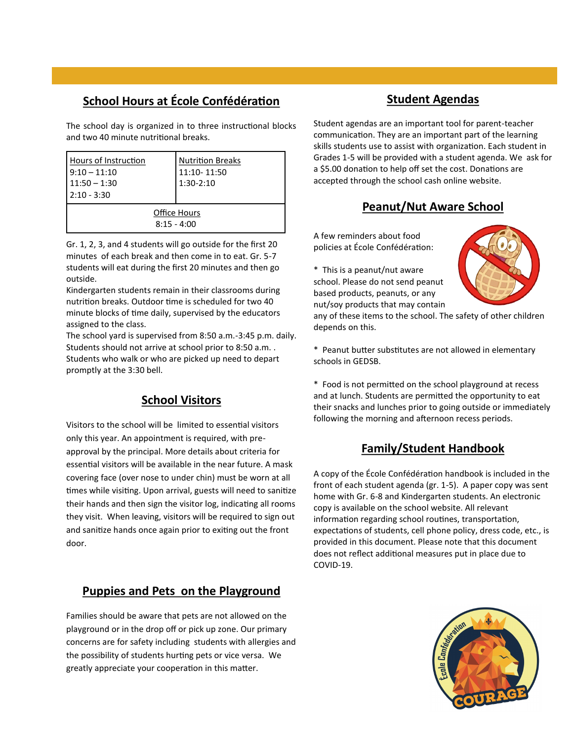# **School Hours at École Confédération**

The school day is organized in to three instructional blocks and two 40 minute nutritional breaks.

| Hours of Instruction<br>$9:10 - 11:10$<br>$11:50 - 1:30$<br>$2:10 - 3:30$ | <b>Nutrition Breaks</b><br>11:10-11:50<br>$1:30-2:10$ |
|---------------------------------------------------------------------------|-------------------------------------------------------|
| Office Hours<br>$8:15 - 4:00$                                             |                                                       |

Gr. 1, 2, 3, and 4 students will go outside for the first 20 minutes of each break and then come in to eat. Gr. 5-7 students will eat during the first 20 minutes and then go outside.

Kindergarten students remain in their classrooms during nutrition breaks. Outdoor time is scheduled for two 40 minute blocks of time daily, supervised by the educators assigned to the class.

The school yard is supervised from 8:50 a.m.-3:45 p.m. daily. Students should not arrive at school prior to 8:50 a.m. . Students who walk or who are picked up need to depart promptly at the 3:30 bell.

# **School Visitors**

Visitors to the school will be limited to essential visitors only this year. An appointment is required, with preapproval by the principal. More details about criteria for essential visitors will be available in the near future. A mask covering face (over nose to under chin) must be worn at all times while visiting. Upon arrival, guests will need to sanitize their hands and then sign the visitor log, indicating all rooms they visit. When leaving, visitors will be required to sign out and sanitize hands once again prior to exiting out the front door.

# **Puppies and Pets on the Playground**

Families should be aware that pets are not allowed on the playground or in the drop off or pick up zone. Our primary concerns are for safety including students with allergies and the possibility of students hurting pets or vice versa. We greatly appreciate your cooperation in this matter.

# **Student Agendas**

Student agendas are an important tool for parent-teacher communication. They are an important part of the learning skills students use to assist with organization. Each student in Grades 1-5 will be provided with a student agenda. We ask for a \$5.00 donation to help off set the cost. Donations are accepted through the school cash online website.

# **Peanut/Nut Aware School**

A few reminders about food policies at École Confédération:

\* This is a peanut/nut aware school. Please do not send peanut based products, peanuts, or any nut/soy products that may contain

depends on this.



\* Peanut butter substitutes are not allowed in elementary schools in GEDSB.

any of these items to the school. The safety of other children

\* Food is not permitted on the school playground at recess and at lunch. Students are permitted the opportunity to eat their snacks and lunches prior to going outside or immediately following the morning and afternoon recess periods.

# **Family/Student Handbook**

A copy of the École Confédération handbook is included in the front of each student agenda (gr. 1-5). A paper copy was sent home with Gr. 6-8 and Kindergarten students. An electronic copy is available on the school website. All relevant information regarding school routines, transportation, expectations of students, cell phone policy, dress code, etc., is provided in this document. Please note that this document does not reflect additional measures put in place due to COVID-19.

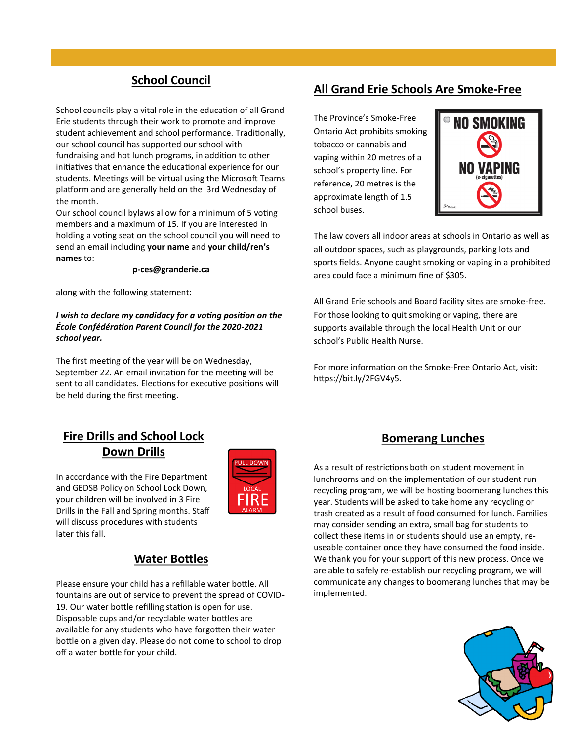# **School Council**

School councils play a vital role in the education of all Grand Erie students through their work to promote and improve student achievement and school performance. Traditionally, our school council has supported our school with fundraising and hot lunch programs, in addition to other initiatives that enhance the educational experience for our students. Meetings will be virtual using the Microsoft Teams platform and are generally held on the 3rd Wednesday of the month.

Our school council bylaws allow for a minimum of 5 voting members and a maximum of 15. If you are interested in holding a voting seat on the school council you will need to send an email including **your name** and **your child/ren's names** to:

#### **p-ces@granderie.ca**

along with the following statement:

#### *I wish to declare my candidacy for a voting position on the École Confédération Parent Council for the 2020-2021 school year.*

The first meeting of the year will be on Wednesday, September 22. An email invitation for the meeting will be sent to all candidates. Elections for executive positions will be held during the first meeting.

## **All Grand Erie Schools Are Smoke-Free**

The Province's Smoke-Free Ontario Act prohibits smoking tobacco or cannabis and vaping within 20 metres of a school's property line. For reference, 20 metres is the approximate length of 1.5 school buses.



The law covers all indoor areas at schools in Ontario as well as all outdoor spaces, such as playgrounds, parking lots and sports fields. Anyone caught smoking or vaping in a prohibited area could face a minimum fine of \$305.

All Grand Erie schools and Board facility sites are smoke-free. For those looking to quit smoking or vaping, there are supports available through the local Health Unit or our school's Public Health Nurse.

For more information on the Smoke-Free Ontario Act, visit: https://bit.ly/2FGV4y5.

# **Fire Drills and School Lock Down Drills**



In accordance with the Fire Department and GEDSB Policy on School Lock Down, your children will be involved in 3 Fire Drills in the Fall and Spring months. Staff will discuss procedures with students later this fall.

## **Water Bottles**

Please ensure your child has a refillable water bottle. All fountains are out of service to prevent the spread of COVID-19. Our water bottle refilling station is open for use. Disposable cups and/or recyclable water bottles are available for any students who have forgotten their water bottle on a given day. Please do not come to school to drop off a water bottle for your child.

## **Bomerang Lunches**

As a result of restrictions both on student movement in lunchrooms and on the implementation of our student run recycling program, we will be hosting boomerang lunches this year. Students will be asked to take home any recycling or trash created as a result of food consumed for lunch. Families may consider sending an extra, small bag for students to collect these items in or students should use an empty, reuseable container once they have consumed the food inside. We thank you for your support of this new process. Once we are able to safely re-establish our recycling program, we will communicate any changes to boomerang lunches that may be implemented.

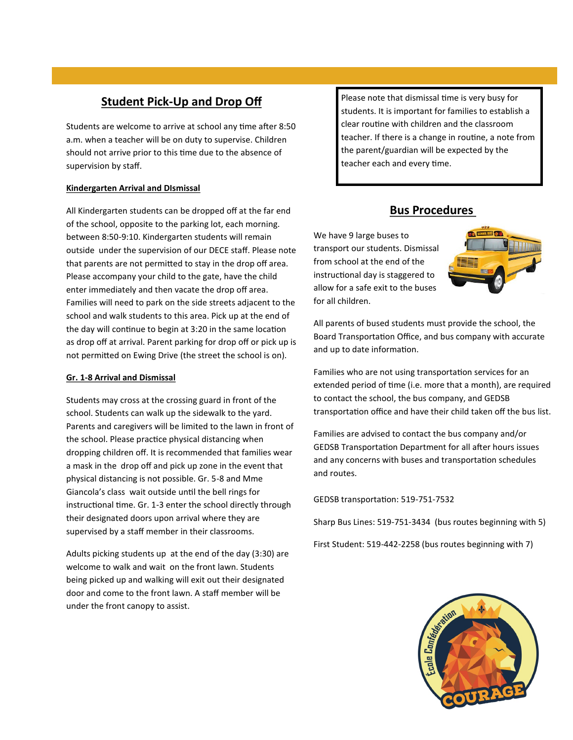# **Student Pick-Up and Drop Off**

Students are welcome to arrive at school any time after 8:50 a.m. when a teacher will be on duty to supervise. Children should not arrive prior to this time due to the absence of supervision by staff.

#### **Kindergarten Arrival and DIsmissal**

All Kindergarten students can be dropped off at the far end of the school, opposite to the parking lot, each morning. between 8:50-9:10. Kindergarten students will remain outside under the supervision of our DECE staff. Please note that parents are not permitted to stay in the drop off area. Please accompany your child to the gate, have the child enter immediately and then vacate the drop off area. Families will need to park on the side streets adjacent to the school and walk students to this area. Pick up at the end of the day will continue to begin at 3:20 in the same location as drop off at arrival. Parent parking for drop off or pick up is not permitted on Ewing Drive (the street the school is on).

#### **Gr. 1-8 Arrival and Dismissal**

Students may cross at the crossing guard in front of the school. Students can walk up the sidewalk to the yard. Parents and caregivers will be limited to the lawn in front of the school. Please practice physical distancing when dropping children off. It is recommended that families wear a mask in the drop off and pick up zone in the event that physical distancing is not possible. Gr. 5-8 and Mme Giancola's class wait outside until the bell rings for instructional time. Gr. 1-3 enter the school directly through their designated doors upon arrival where they are supervised by a staff member in their classrooms.

Adults picking students up at the end of the day (3:30) are welcome to walk and wait on the front lawn. Students being picked up and walking will exit out their designated door and come to the front lawn. A staff member will be under the front canopy to assist.

Please note that dismissal time is very busy for students. It is important for families to establish a clear routine with children and the classroom teacher. If there is a change in routine, a note from the parent/guardian will be expected by the teacher each and every time.

# **Bus Procedures**

We have 9 large buses to transport our students. Dismissal from school at the end of the instructional day is staggered to allow for a safe exit to the buses for all children.



All parents of bused students must provide the school, the Board Transportation Office, and bus company with accurate and up to date information.

Families who are not using transportation services for an extended period of time (i.e. more that a month), are required to contact the school, the bus company, and GEDSB transportation office and have their child taken off the bus list.

Families are advised to contact the bus company and/or GEDSB Transportation Department for all after hours issues and any concerns with buses and transportation schedules and routes.

GEDSB transportation: 519-751-7532

Sharp Bus Lines: 519-751-3434 (bus routes beginning with 5)

First Student: 519-442-2258 (bus routes beginning with 7)

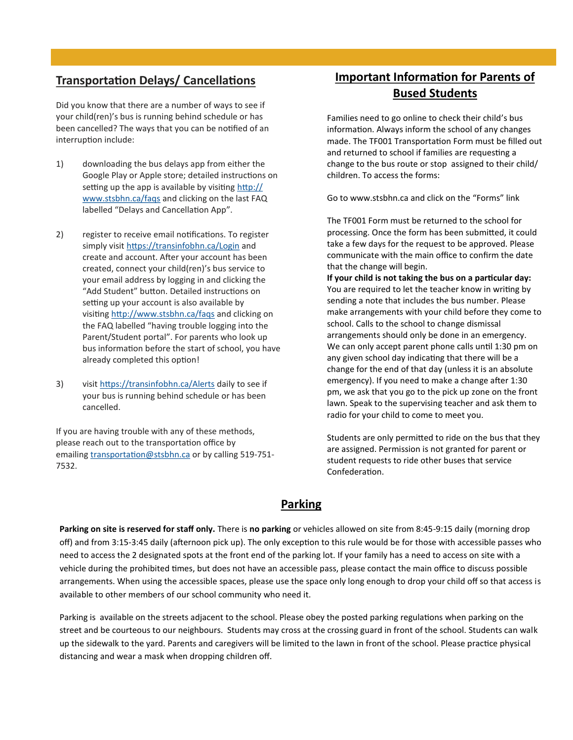# **Transportation Delays/ Cancellations**

Did you know that there are a number of ways to see if your child(ren)'s bus is running behind schedule or has been cancelled? The ways that you can be notified of an interruption include:

- 1) downloading the bus delays app from either the Google Play or Apple store; detailed instructions on setting up the app is available by visiting [http://](http://www.stsbhn.ca/faqs) [www.stsbhn.ca/faqs](http://www.stsbhn.ca/faqs) and clicking on the last FAQ labelled "Delays and Cancellation App".
- 2) register to receive email notifications. To register simply visit <https://transinfobhn.ca/Login> and create and account. After your account has been created, connect your child(ren)'s bus service to your email address by logging in and clicking the "Add Student" button. Detailed instructions on setting up your account is also available by visiting <http://www.stsbhn.ca/faqs> and clicking on the FAQ labelled "having trouble logging into the Parent/Student portal". For parents who look up bus information before the start of school, you have already completed this option!
- 3) visit <https://transinfobhn.ca/Alerts> daily to see if your bus is running behind schedule or has been cancelled.

If you are having trouble with any of these methods, please reach out to the transportation office by emailing [transportation@stsbhn.ca](mailto:transportation@stsbhn.ca) or by calling 519-751-7532.

# **Important Information for Parents of Bused Students**

Families need to go online to check their child's bus information. Always inform the school of any changes made. The TF001 Transportation Form must be filled out and returned to school if families are requesting a change to the bus route or stop assigned to their child/ children. To access the forms:

Go to www.stsbhn.ca and click on the "Forms" link

The TF001 Form must be returned to the school for processing. Once the form has been submitted, it could take a few days for the request to be approved. Please communicate with the main office to confirm the date that the change will begin.

**If your child is not taking the bus on a particular day:**  You are required to let the teacher know in writing by sending a note that includes the bus number. Please make arrangements with your child before they come to school. Calls to the school to change dismissal arrangements should only be done in an emergency. We can only accept parent phone calls until 1:30 pm on any given school day indicating that there will be a change for the end of that day (unless it is an absolute emergency). If you need to make a change after 1:30 pm, we ask that you go to the pick up zone on the front lawn. Speak to the supervising teacher and ask them to radio for your child to come to meet you.

Students are only permitted to ride on the bus that they are assigned. Permission is not granted for parent or student requests to ride other buses that service Confederation.

## **Parking**

**Parking on site is reserved for staff only.** There is **no parking** or vehicles allowed on site from 8:45-9:15 daily (morning drop off) and from 3:15-3:45 daily (afternoon pick up). The only exception to this rule would be for those with accessible passes who need to access the 2 designated spots at the front end of the parking lot. If your family has a need to access on site with a vehicle during the prohibited times, but does not have an accessible pass, please contact the main office to discuss possible arrangements. When using the accessible spaces, please use the space only long enough to drop your child off so that access is available to other members of our school community who need it.

Parking is available on the streets adjacent to the school. Please obey the posted parking regulations when parking on the street and be courteous to our neighbours. Students may cross at the crossing guard in front of the school. Students can walk up the sidewalk to the yard. Parents and caregivers will be limited to the lawn in front of the school. Please practice physical distancing and wear a mask when dropping children off.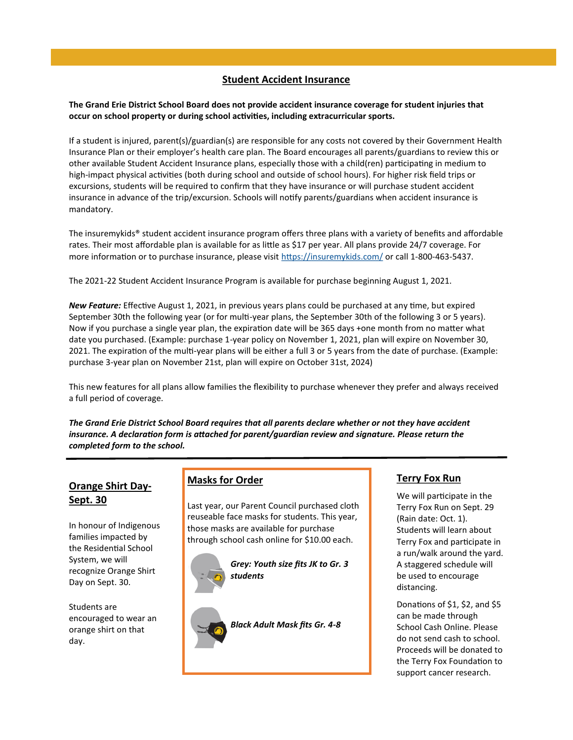#### **Student Accident Insurance**

**The Grand Erie District School Board does not provide accident insurance coverage for student injuries that occur on school property or during school activities, including extracurricular sports.** 

If a student is injured, parent(s)/guardian(s) are responsible for any costs not covered by their Government Health Insurance Plan or their employer's health care plan. The Board encourages all parents/guardians to review this or other available Student Accident Insurance plans, especially those with a child(ren) participating in medium to high-impact physical activities (both during school and outside of school hours). For higher risk field trips or excursions, students will be required to confirm that they have insurance or will purchase student accident insurance in advance of the trip/excursion. Schools will notify parents/guardians when accident insurance is mandatory.

The insuremykids® student accident insurance program offers three plans with a variety of benefits and affordable rates. Their most affordable plan is available for as little as \$17 per year. All plans provide 24/7 coverage. For more information or to purchase insurance, please visit <https://insuremykids.com/> or call 1-800-463-5437.

The 2021-22 Student Accident Insurance Program is available for purchase beginning August 1, 2021.

*New Feature:* Effective August 1, 2021, in previous years plans could be purchased at any time, but expired September 30th the following year (or for multi-year plans, the September 30th of the following 3 or 5 years). Now if you purchase a single year plan, the expiration date will be 365 days +one month from no matter what date you purchased. (Example: purchase 1-year policy on November 1, 2021, plan will expire on November 30, 2021. The expiration of the multi-year plans will be either a full 3 or 5 years from the date of purchase. (Example: purchase 3-year plan on November 21st, plan will expire on October 31st, 2024)

This new features for all plans allow families the flexibility to purchase whenever they prefer and always received a full period of coverage.

*The Grand Erie District School Board requires that all parents declare whether or not they have accident insurance. A declaration form is attached for parent/guardian review and signature. Please return the completed form to the school.* 

## **Orange Shirt Day-Sept. 30**

In honour of Indigenous families impacted by the Residential School System, we will recognize Orange Shirt Day on Sept. 30.

Students are encouraged to wear an orange shirt on that day.

#### **Masks for Order**

Last year, our Parent Council purchased cloth reuseable face masks for students. This year, those masks are available for purchase through school cash online for \$10.00 each.



*Grey: Youth size fits JK to Gr. 3 students*

*Black Adult Mask fits Gr. 4-8*

#### **Terry Fox Run**

We will participate in the Terry Fox Run on Sept. 29 (Rain date: Oct. 1). Students will learn about Terry Fox and participate in a run/walk around the yard. A staggered schedule will be used to encourage distancing.

Donations of \$1, \$2, and \$5 can be made through School Cash Online. Please do not send cash to school. Proceeds will be donated to the Terry Fox Foundation to support cancer research.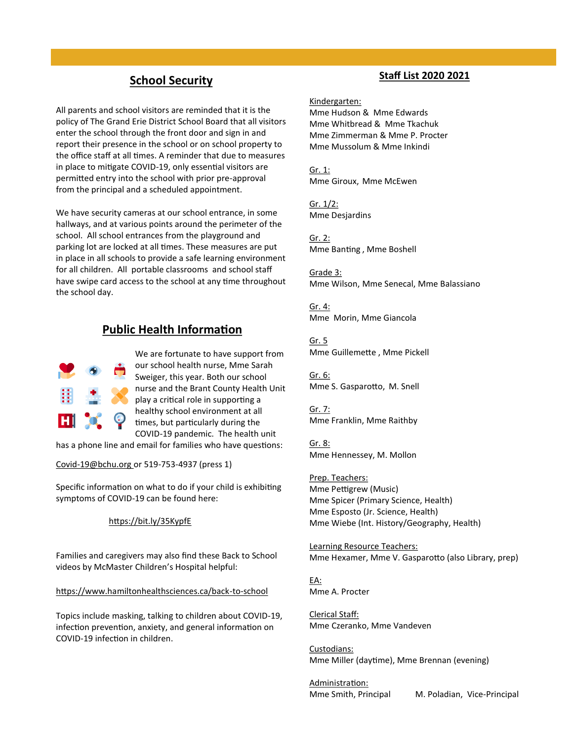## **School Security**

All parents and school visitors are reminded that it is the policy of The Grand Erie District School Board that all visitors enter the school through the front door and sign in and report their presence in the school or on school property to the office staff at all times. A reminder that due to measures in place to mitigate COVID-19, only essential visitors are permitted entry into the school with prior pre-approval from the principal and a scheduled appointment.

We have security cameras at our school entrance, in some hallways, and at various points around the perimeter of the school. All school entrances from the playground and parking lot are locked at all times. These measures are put in place in all schools to provide a safe learning environment for all children. All portable classrooms and school staff have swipe card access to the school at any time throughout the school day.

## **Public Health Information**



We are fortunate to have support from our school health nurse, Mme Sarah Sweiger, this year. Both our school nurse and the Brant County Health Unit play a critical role in supporting a healthy school environment at all times, but particularly during the COVID-19 pandemic. The health unit

has a phone line and email for families who have questions:

Covid-[19@bchu.org](mailto:Covid-19@bchu.org) or 519-753-4937 (press 1)

Specific information on what to do if your child is exhibiting symptoms of COVID-19 can be found here:

#### <https://bit.ly/35KypfE>

Families and caregivers may also find these Back to School videos by McMaster Children's Hospital helpful:

[https://www.hamiltonhealthsciences.ca/back](https://www.hamiltonhealthsciences.ca/back-to-school)-to-school

Topics include masking, talking to children about COVID-19, infection prevention, anxiety, and general information on COVID-19 infection in children.

#### **Staff List 2020 2021**

Kindergarten: Mme Hudson & Mme Edwards Mme Whitbread & Mme Tkachuk Mme Zimmerman & Mme P. Procter Mme Mussolum & Mme Inkindi

Gr. 1: Mme Giroux, Mme McEwen

Gr. 1/2: Mme Desjardins

Gr. 2: Mme Banting , Mme Boshell

Grade 3: Mme Wilson, Mme Senecal, Mme Balassiano

Gr. 4: Mme Morin, Mme Giancola

Gr. 5 Mme Guillemette , Mme Pickell

Gr. 6: Mme S. Gasparotto, M. Snell

Gr. 7: Mme Franklin, Mme Raithby

Gr. 8: Mme Hennessey, M. Mollon

Prep. Teachers: Mme Pettigrew (Music) Mme Spicer (Primary Science, Health) Mme Esposto (Jr. Science, Health) Mme Wiebe (Int. History/Geography, Health)

Learning Resource Teachers: Mme Hexamer, Mme V. Gasparotto (also Library, prep)

EA: Mme A. Procter

Clerical Staff: Mme Czeranko, Mme Vandeven

Custodians: Mme Miller (daytime), Mme Brennan (evening)

Administration:

Mme Smith, Principal M. Poladian, Vice-Principal